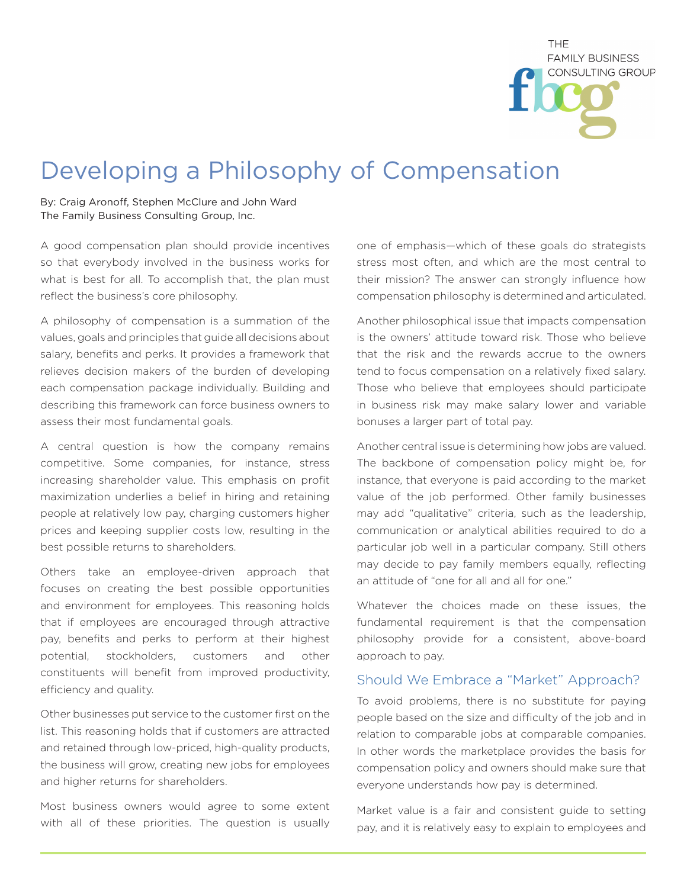**THE FAMILY BUSINESS** CONSULTING GROUP

## Developing a Philosophy of Compensation

By: Craig Aronoff, Stephen McClure and John Ward The Family Business Consulting Group, Inc.

A good compensation plan should provide incentives so that everybody involved in the business works for what is best for all. To accomplish that, the plan must reflect the business's core philosophy.

A philosophy of compensation is a summation of the values, goals and principles that guide all decisions about salary, benefits and perks. It provides a framework that relieves decision makers of the burden of developing each compensation package individually. Building and describing this framework can force business owners to assess their most fundamental goals.

A central question is how the company remains competitive. Some companies, for instance, stress increasing shareholder value. This emphasis on profit maximization underlies a belief in hiring and retaining people at relatively low pay, charging customers higher prices and keeping supplier costs low, resulting in the best possible returns to shareholders.

Others take an employee-driven approach that focuses on creating the best possible opportunities and environment for employees. This reasoning holds that if employees are encouraged through attractive pay, benefits and perks to perform at their highest potential, stockholders, customers and other constituents will benefit from improved productivity, efficiency and quality.

Other businesses put service to the customer first on the list. This reasoning holds that if customers are attracted and retained through low-priced, high-quality products, the business will grow, creating new jobs for employees and higher returns for shareholders.

Most business owners would agree to some extent with all of these priorities. The question is usually

one of emphasis—which of these goals do strategists stress most often, and which are the most central to their mission? The answer can strongly influence how compensation philosophy is determined and articulated.

Another philosophical issue that impacts compensation is the owners' attitude toward risk. Those who believe that the risk and the rewards accrue to the owners tend to focus compensation on a relatively fixed salary. Those who believe that employees should participate in business risk may make salary lower and variable bonuses a larger part of total pay.

Another central issue is determining how jobs are valued. The backbone of compensation policy might be, for instance, that everyone is paid according to the market value of the job performed. Other family businesses may add "qualitative" criteria, such as the leadership, communication or analytical abilities required to do a particular job well in a particular company. Still others may decide to pay family members equally, reflecting an attitude of "one for all and all for one."

Whatever the choices made on these issues, the fundamental requirement is that the compensation philosophy provide for a consistent, above-board approach to pay.

## Should We Embrace a "Market" Approach?

To avoid problems, there is no substitute for paying people based on the size and difficulty of the job and in relation to comparable jobs at comparable companies. In other words the marketplace provides the basis for compensation policy and owners should make sure that everyone understands how pay is determined.

Market value is a fair and consistent guide to setting pay, and it is relatively easy to explain to employees and